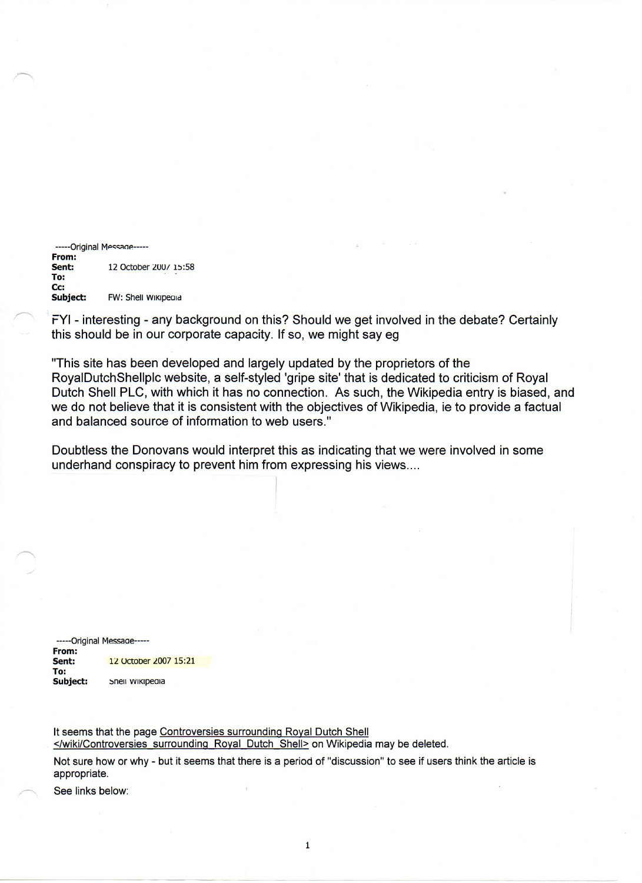-----Original Message-----From: **Sent:** 12 October 200/ 15:58 To: Cc:<br>Subject: FW: Shell WIKIpeald

FYI- interesting - any background on this? Should we get involved in the debate? Certainly this should be in our corporate capacity. If so, we might say eg

"This site has been developed and largely updated by the proprietors of the RoyalDutchShellplc website, a self-styled 'gripe site' that is dedicated to criticism of Royal Dutch Shell PLC, with which it has no connection. As such, the Wikipedia entry is biased, and we do not believe that it is consistent with the objectives of Wikipedia, ie to provide a factual and balanced source of information to web users."

Doubtless the Donovans would interpret this as indicating that we were involved in some underhand conspiracy to prevent him from expressing his views....

-----Original Message-From: **Sent:** 12 October 2007 15:21 To:<br>Subject: Snell wikipedia

It seems that the page Controversies surrounding Royal Dutch Shell </wiki/Controversies surrounding Royal Dutch Shell> on Wikipedia may be deleted.

Not sure how or why - but it seems that there is a period of "discussion" to see if users think the article is appropriate.

See links below: